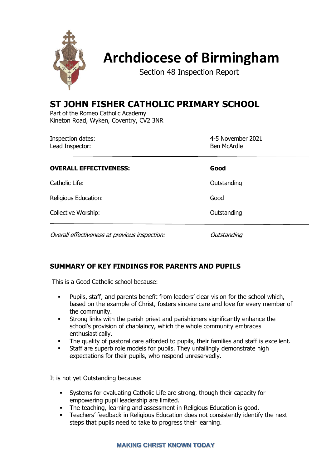

# **Archdiocese of Birmingham**

Section 48 Inspection Report

## **ST JOHN FISHER CATHOLIC PRIMARY SCHOOL**

Part of the Romeo Catholic Academy Kineton Road, Wyken, Coventry, CV2 3NR

| Inspection dates:<br>Lead Inspector:          | 4-5 November 2021<br>Ben McArdle |  |
|-----------------------------------------------|----------------------------------|--|
| <b>OVERALL EFFECTIVENESS:</b>                 | Good                             |  |
| Catholic Life:                                | Outstanding                      |  |
| Religious Education:                          | Good                             |  |
| Collective Worship:                           | Outstanding                      |  |
| Overall effectiveness at previous inspection: | Outstanding                      |  |

## **SUMMARY OF KEY FINDINGS FOR PARENTS AND PUPILS**

This is a Good Catholic school because:

- Pupils, staff, and parents benefit from leaders' clear vision for the school which, based on the example of Christ, fosters sincere care and love for every member of the community.
- **EXECT:** Strong links with the parish priest and parishioners significantly enhance the school's provision of chaplaincy, which the whole community embraces enthusiastically.
- The quality of pastoral care afforded to pupils, their families and staff is excellent.
- **EXECTE:** Staff are superb role models for pupils. They unfailingly demonstrate high expectations for their pupils, who respond unreservedly.

It is not yet Outstanding because:

- **EXECTS** Systems for evaluating Catholic Life are strong, though their capacity for empowering pupil leadership are limited.
- **•** The teaching, learning and assessment in Religious Education is good.
- **EXECTE:** Teachers' feedback in Religious Education does not consistently identify the next steps that pupils need to take to progress their learning.

#### **MAKING CHRIST KNOWN TODAY**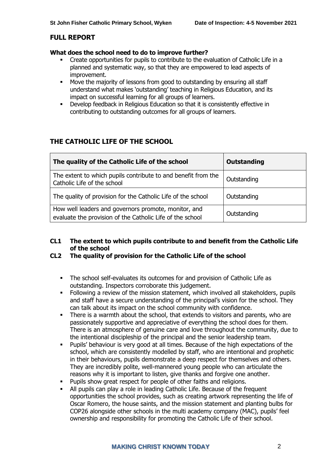#### **FULL REPORT**

#### **What does the school need to do to improve further?**

- Create opportunities for pupils to contribute to the evaluation of Catholic Life in a planned and systematic way, so that they are empowered to lead aspects of improvement.
- Move the majority of lessons from good to outstanding by ensuring all staff understand what makes 'outstanding' teaching in Religious Education, and its impact on successful learning for all groups of learners.
- Develop feedback in Religious Education so that it is consistently effective in contributing to outstanding outcomes for all groups of learners.

## **THE CATHOLIC LIFE OF THE SCHOOL**

| The quality of the Catholic Life of the school                                                                    | <b>Outstanding</b> |
|-------------------------------------------------------------------------------------------------------------------|--------------------|
| The extent to which pupils contribute to and benefit from the<br>Catholic Life of the school                      | Outstanding        |
| The quality of provision for the Catholic Life of the school                                                      | Outstanding        |
| How well leaders and governors promote, monitor, and<br>evaluate the provision of the Catholic Life of the school | Outstanding        |

#### **CL1 The extent to which pupils contribute to and benefit from the Catholic Life of the school**

#### **CL2 The quality of provision for the Catholic Life of the school**

- The school self-evaluates its outcomes for and provision of Catholic Life as outstanding. Inspectors corroborate this judgement.
- Following a review of the mission statement, which involved all stakeholders, pupils and staff have a secure understanding of the principal's vision for the school. They can talk about its impact on the school community with confidence.
- There is a warmth about the school, that extends to visitors and parents, who are passionately supportive and appreciative of everything the school does for them. There is an atmosphere of genuine care and love throughout the community, due to the intentional discipleship of the principal and the senior leadership team.
- Pupils' behaviour is very good at all times. Because of the high expectations of the school, which are consistently modelled by staff, who are intentional and prophetic in their behaviours, pupils demonstrate a deep respect for themselves and others. They are incredibly polite, well-mannered young people who can articulate the reasons why it is important to listen, give thanks and forgive one another.
- Pupils show great respect for people of other faiths and religions.
- All pupils can play a role in leading Catholic Life. Because of the frequent opportunities the school provides, such as creating artwork representing the life of Oscar Romero, the house saints, and the mission statement and planting bulbs for COP26 alongside other schools in the multi academy company (MAC), pupils' feel ownership and responsibility for promoting the Catholic Life of their school.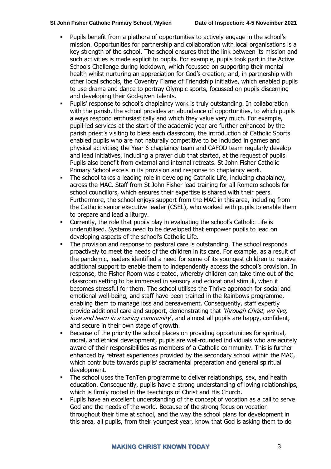- Pupils benefit from a plethora of opportunities to actively engage in the school's mission. Opportunities for partnership and collaboration with local organisations is a key strength of the school. The school ensures that the link between its mission and such activities is made explicit to pupils. For example, pupils took part in the Active Schools Challenge during lockdown, which focussed on supporting their mental health whilst nurturing an appreciation for God's creation; and, in partnership with other local schools, the Coventry Flame of Friendship initiative, which enabled pupils to use drama and dance to portray Olympic sports, focussed on pupils discerning and developing their God-given talents.
- Pupils' response to school's chaplaincy work is truly outstanding. In collaboration with the parish, the school provides an abundance of opportunities, to which pupils always respond enthusiastically and which they value very much. For example, pupil-led services at the start of the academic year are further enhanced by the parish priest's visiting to bless each classroom; the introduction of Catholic Sports enabled pupils who are not naturally competitive to be included in games and physical activities; the Year 6 chaplaincy team and CAFOD team regularly develop and lead initiatives, including a prayer club that started, at the request of pupils. Pupils also benefit from external and internal retreats. St John Fisher Catholic Primary School excels in its provision and response to chaplaincy work.
- The school takes a leading role in developing Catholic Life, including chaplaincy, across the MAC. Staff from St John Fisher lead training for all Romero schools for school councillors, which ensures their expertise is shared with their peers. Furthermore, the school enjoys support from the MAC in this area, including from the Catholic senior executive leader (CSEL), who worked with pupils to enable them to prepare and lead a liturgy.
- Currently, the role that pupils play in evaluating the school's Catholic Life is underutilised. Systems need to be developed that empower pupils to lead on developing aspects of the school's Catholic Life.
- The provision and response to pastoral care is outstanding. The school responds proactively to meet the needs of the children in its care. For example, as a result of the pandemic, leaders identified a need for some of its youngest children to receive additional support to enable them to independently access the school's provision. In response, the Fisher Room was created, whereby children can take time out of the classroom setting to be immersed in sensory and educational stimuli, when it becomes stressful for them. The school utilises the Thrive approach for social and emotional well-being, and staff have been trained in the Rainbows programme, enabling them to manage loss and bereavement. Consequently, staff expertly provide additional care and support, demonstrating that *'through Christ, we live,* love and learn in a caring community, and almost all pupils are happy, confident, and secure in their own stage of growth.
- Because of the priority the school places on providing opportunities for spiritual, moral, and ethical development, pupils are well-rounded individuals who are acutely aware of their responsibilities as members of a Catholic community. This is further enhanced by retreat experiences provided by the secondary school within the MAC, which contribute towards pupils' sacramental preparation and general spiritual development.
- The school uses the TenTen programme to deliver relationships, sex, and health education. Consequently, pupils have a strong understanding of loving relationships, which is firmly rooted in the teachings of Christ and His Church.
- Pupils have an excellent understanding of the concept of vocation as a call to serve God and the needs of the world. Because of the strong focus on vocation throughout their time at school, and the way the school plans for development in this area, all pupils, from their youngest year, know that God is asking them to do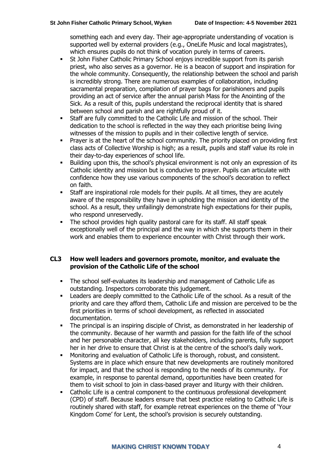something each and every day. Their age-appropriate understanding of vocation is supported well by external providers (e.g., OneLife Music and local magistrates), which ensures pupils do not think of vocation purely in terms of careers.

- **•** St John Fisher Catholic Primary School enjoys incredible support from its parish priest, who also serves as a governor. He is a beacon of support and inspiration for the whole community. Consequently, the relationship between the school and parish is incredibly strong. There are numerous examples of collaboration, including sacramental preparation, compilation of prayer bags for parishioners and pupils providing an act of service after the annual parish Mass for the Anointing of the Sick. As a result of this, pupils understand the reciprocal identity that is shared between school and parish and are rightfully proud of it.
- **EXECTE:** Staff are fully committed to the Catholic Life and mission of the school. Their dedication to the school is reflected in the way they each prioritise being living witnesses of the mission to pupils and in their collective length of service.
- Prayer is at the heart of the school community. The priority placed on providing first class acts of Collective Worship is high; as a result, pupils and staff value its role in their day-to-day experiences of school life.
- Building upon this, the school's physical environment is not only an expression of its Catholic identity and mission but is conducive to prayer. Pupils can articulate with confidence how they use various components of the school's decoration to reflect on faith.
- Staff are inspirational role models for their pupils. At all times, they are acutely aware of the responsibility they have in upholding the mission and identity of the school. As a result, they unfailingly demonstrate high expectations for their pupils, who respond unreservedly.
- The school provides high quality pastoral care for its staff. All staff speak exceptionally well of the principal and the way in which she supports them in their work and enables them to experience encounter with Christ through their work.

#### **CL3 How well leaders and governors promote, monitor, and evaluate the provision of the Catholic Life of the school**

- The school self-evaluates its leadership and management of Catholic Life as outstanding. Inspectors corroborate this judgement.
- Leaders are deeply committed to the Catholic Life of the school. As a result of the priority and care they afford them, Catholic Life and mission are perceived to be the first priorities in terms of school development, as reflected in associated documentation.
- The principal is an inspiring disciple of Christ, as demonstrated in her leadership of the community. Because of her warmth and passion for the faith life of the school and her personable character, all key stakeholders, including parents, fully support her in her drive to ensure that Christ is at the centre of the school's daily work.
- Monitoring and evaluation of Catholic Life is thorough, robust, and consistent. Systems are in place which ensure that new developments are routinely monitored for impact, and that the school is responding to the needs of its community. For example, in response to parental demand, opportunities have been created for them to visit school to join in class-based prayer and liturgy with their children.
- Catholic Life is a central component to the continuous professional development (CPD) of staff. Because leaders ensure that best practice relating to Catholic Life is routinely shared with staff, for example retreat experiences on the theme of 'Your Kingdom Come' for Lent, the school's provision is securely outstanding.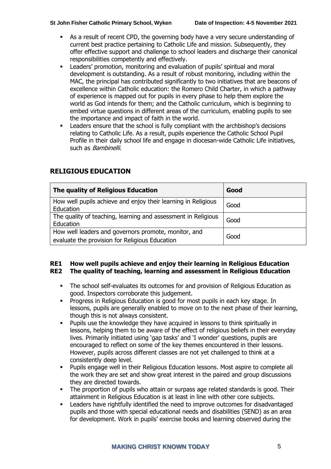- As a result of recent CPD, the governing body have a very secure understanding of current best practice pertaining to Catholic Life and mission. Subsequently, they offer effective support and challenge to school leaders and discharge their canonical responsibilities competently and effectively.
- Leaders' promotion, monitoring and evaluation of pupils' spiritual and moral development is outstanding. As a result of robust monitoring, including within the MAC, the principal has contributed significantly to two initiatives that are beacons of excellence within Catholic education: the Romero Child Charter, in which a pathway of experience is mapped out for pupils in every phase to help them explore the world as God intends for them; and the Catholic curriculum, which is beginning to embed virtue questions in different areas of the curriculum, enabling pupils to see the importance and impact of faith in the world.
- Leaders ensure that the school is fully compliant with the archbishop's decisions relating to Catholic Life. As a result, pupils experience the Catholic School Pupil Profile in their daily school life and engage in diocesan-wide Catholic Life initiatives, such as **Bambinelli**.

| The quality of Religious Education                                                                     | Good |
|--------------------------------------------------------------------------------------------------------|------|
| How well pupils achieve and enjoy their learning in Religious<br>Education                             | Good |
| The quality of teaching, learning and assessment in Religious<br>Education                             | Good |
| How well leaders and governors promote, monitor, and<br>evaluate the provision for Religious Education | Good |

## **RELIGIOUS EDUCATION**

#### **RE1 How well pupils achieve and enjoy their learning in Religious Education RE2 The quality of teaching, learning and assessment in Religious Education**

- The school self-evaluates its outcomes for and provision of Religious Education as good. Inspectors corroborate this judgement.
- **•** Progress in Religious Education is good for most pupils in each key stage. In lessons, pupils are generally enabled to move on to the next phase of their learning, though this is not always consistent.
- Pupils use the knowledge they have acquired in lessons to think spiritually in lessons, helping them to be aware of the effect of religious beliefs in their everyday lives. Primarily initiated using 'gap tasks' and 'I wonder' questions, pupils are encouraged to reflect on some of the key themes encountered in their lessons. However, pupils across different classes are not yet challenged to think at a consistently deep level.
- Pupils engage well in their Religious Education lessons. Most aspire to complete all the work they are set and show great interest in the paired and group discussions they are directed towards.
- The proportion of pupils who attain or surpass age related standards is good. Their attainment in Religious Education is at least in line with other core subjects.
- Leaders have rightfully identified the need to improve outcomes for disadvantaged pupils and those with special educational needs and disabilities (SEND) as an area for development. Work in pupils' exercise books and learning observed during the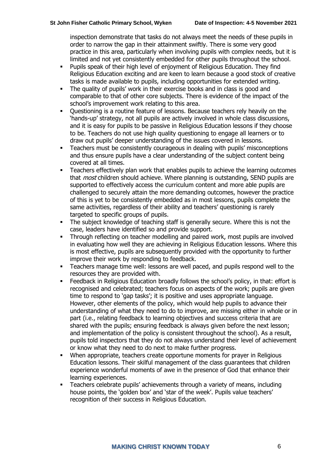inspection demonstrate that tasks do not always meet the needs of these pupils in order to narrow the gap in their attainment swiftly. There is some very good practice in this area, particularly when involving pupils with complex needs, but it is limited and not yet consistently embedded for other pupils throughout the school.

- Pupils speak of their high level of enjoyment of Religious Education. They find Religious Education exciting and are keen to learn because a good stock of creative tasks is made available to pupils, including opportunities for extended writing.
- The quality of pupils' work in their exercise books and in class is good and comparable to that of other core subjects. There is evidence of the impact of the school's improvement work relating to this area.
- Questioning is a routine feature of lessons. Because teachers rely heavily on the 'hands-up' strategy, not all pupils are actively involved in whole class discussions, and it is easy for pupils to be passive in Religious Education lessons if they choose to be. Teachers do not use high quality questioning to engage all learners or to draw out pupils' deeper understanding of the issues covered in lessons.
- Teachers must be consistently courageous in dealing with pupils' misconceptions and thus ensure pupils have a clear understanding of the subject content being covered at all times.
- Teachers effectively plan work that enables pupils to achieve the learning outcomes that *most* children should achieve. Where planning is outstanding, SEND pupils are supported to effectively access the curriculum content and more able pupils are challenged to securely attain the more demanding outcomes, however the practice of this is yet to be consistently embedded as in most lessons, pupils complete the same activities, regardless of their ability and teachers' questioning is rarely targeted to specific groups of pupils.
- **•** The subject knowledge of teaching staff is generally secure. Where this is not the case, leaders have identified so and provide support.
- Through reflecting on teacher modelling and paired work, most pupils are involved in evaluating how well they are achieving in Religious Education lessons. Where this is most effective, pupils are subsequently provided with the opportunity to further improve their work by responding to feedback.
- Teachers manage time well: lessons are well paced, and pupils respond well to the resources they are provided with.
- Feedback in Religious Education broadly follows the school's policy, in that: effort is recognised and celebrated; teachers focus on aspects of the work; pupils are given time to respond to 'gap tasks'; it is positive and uses appropriate language. However, other elements of the policy, which would help pupils to advance their understanding of what they need to do to improve, are missing either in whole or in part (i.e., relating feedback to learning objectives and success criteria that are shared with the pupils; ensuring feedback is always given before the next lesson; and implementation of the policy is consistent throughout the school). As a result, pupils told inspectors that they do not always understand their level of achievement or know what they need to do next to make further progress.
- When appropriate, teachers create opportune moments for prayer in Religious Education lessons. Their skilful management of the class guarantees that children experience wonderful moments of awe in the presence of God that enhance their learning experiences.
- Teachers celebrate pupils' achievements through a variety of means, including house points, the 'golden box' and 'star of the week'. Pupils value teachers' recognition of their success in Religious Education.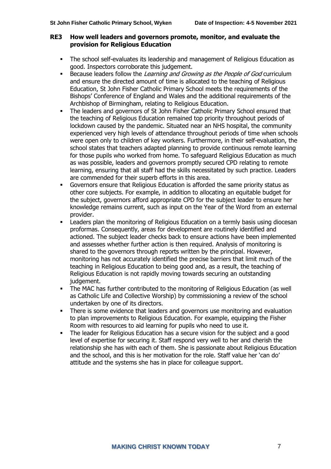#### **RE3 How well leaders and governors promote, monitor, and evaluate the provision for Religious Education**

- The school self-evaluates its leadership and management of Religious Education as good. Inspectors corroborate this judgement.
- **EXEC** Because leaders follow the Learning and Growing as the People of God curriculum and ensure the directed amount of time is allocated to the teaching of Religious Education, St John Fisher Catholic Primary School meets the requirements of the Bishops' Conference of England and Wales and the additional requirements of the Archbishop of Birmingham, relating to Religious Education.
- The leaders and governors of St John Fisher Catholic Primary School ensured that the teaching of Religious Education remained top priority throughout periods of lockdown caused by the pandemic. Situated near an NHS hospital, the community experienced very high levels of attendance throughout periods of time when schools were open only to children of key workers. Furthermore, in their self-evaluation, the school states that teachers adapted planning to provide continuous remote learning for those pupils who worked from home. To safeguard Religious Education as much as was possible, leaders and governors promptly secured CPD relating to remote learning, ensuring that all staff had the skills necessitated by such practice. Leaders are commended for their superb efforts in this area.
- Governors ensure that Religious Education is afforded the same priority status as other core subjects. For example, in addition to allocating an equitable budget for the subject, governors afford appropriate CPD for the subject leader to ensure her knowledge remains current, such as input on the Year of the Word from an external provider.
- Leaders plan the monitoring of Religious Education on a termly basis using diocesan proformas. Consequently, areas for development are routinely identified and actioned. The subject leader checks back to ensure actions have been implemented and assesses whether further action is then required. Analysis of monitoring is shared to the governors through reports written by the principal. However, monitoring has not accurately identified the precise barriers that limit much of the teaching in Religious Education to being good and, as a result, the teaching of Religious Education is not rapidly moving towards securing an outstanding judgement.
- **•** The MAC has further contributed to the monitoring of Religious Education (as well as Catholic Life and Collective Worship) by commissioning a review of the school undertaken by one of its directors.
- There is some evidence that leaders and governors use monitoring and evaluation to plan improvements to Religious Education. For example, equipping the Fisher Room with resources to aid learning for pupils who need to use it.
- The leader for Religious Education has a secure vision for the subject and a good level of expertise for securing it. Staff respond very well to her and cherish the relationship she has with each of them. She is passionate about Religious Education and the school, and this is her motivation for the role. Staff value her 'can do' attitude and the systems she has in place for colleague support.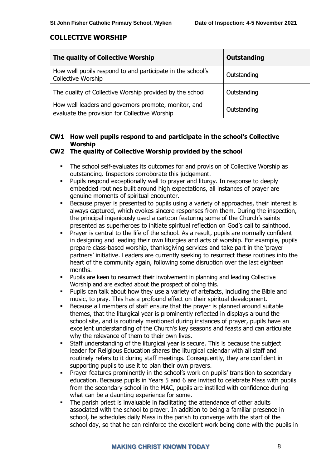#### **COLLECTIVE WORSHIP**

| The quality of Collective Worship                                                                     | Outstanding |
|-------------------------------------------------------------------------------------------------------|-------------|
| How well pupils respond to and participate in the school's<br>Collective Worship                      | Outstanding |
| The quality of Collective Worship provided by the school                                              | Outstanding |
| How well leaders and governors promote, monitor, and<br>evaluate the provision for Collective Worship | Outstanding |

### **CW1 How well pupils respond to and participate in the school's Collective Worship**

#### **CW2 The quality of Collective Worship provided by the school**

- The school self-evaluates its outcomes for and provision of Collective Worship as outstanding. Inspectors corroborate this judgement.
- Pupils respond exceptionally well to prayer and liturgy. In response to deeply embedded routines built around high expectations, all instances of prayer are genuine moments of spiritual encounter.
- Because prayer is presented to pupils using a variety of approaches, their interest is always captured, which evokes sincere responses from them. During the inspection, the principal ingeniously used a cartoon featuring some of the Church's saints presented as superheroes to initiate spiritual reflection on God's call to sainthood.
- Prayer is central to the life of the school. As a result, pupils are normally confident in designing and leading their own liturgies and acts of worship. For example, pupils prepare class-based worship, thanksgiving services and take part in the 'prayer partners' initiative. Leaders are currently seeking to resurrect these routines into the heart of the community again, following some disruption over the last eighteen months.
- Pupils are keen to resurrect their involvement in planning and leading Collective Worship and are excited about the prospect of doing this.
- Pupils can talk about how they use a variety of artefacts, including the Bible and music, to pray. This has a profound effect on their spiritual development.
- Because all members of staff ensure that the prayer is planned around suitable themes, that the liturgical year is prominently reflected in displays around the school site, and is routinely mentioned during instances of prayer, pupils have an excellent understanding of the Church's key seasons and feasts and can articulate why the relevance of them to their own lives.
- Staff understanding of the liturgical year is secure. This is because the subiect leader for Religious Education shares the liturgical calendar with all staff and routinely refers to it during staff meetings. Consequently, they are confident in supporting pupils to use it to plan their own prayers.
- Prayer features prominently in the school's work on pupils' transition to secondary education. Because pupils in Years 5 and 6 are invited to celebrate Mass with pupils from the secondary school in the MAC, pupils are instilled with confidence during what can be a daunting experience for some.
- The parish priest is invaluable in facilitating the attendance of other adults associated with the school to prayer. In addition to being a familiar presence in school, he schedules daily Mass in the parish to converge with the start of the school day, so that he can reinforce the excellent work being done with the pupils in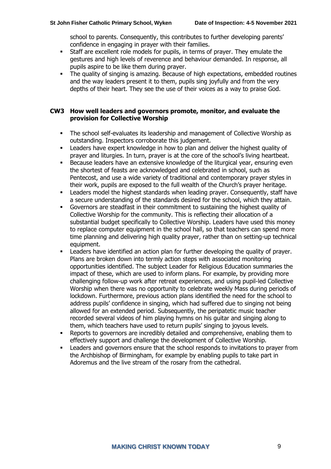school to parents. Consequently, this contributes to further developing parents' confidence in engaging in prayer with their families.

- **EXECTE:** Staff are excellent role models for pupils, in terms of prayer. They emulate the gestures and high levels of reverence and behaviour demanded. In response, all pupils aspire to be like them during prayer.
- The quality of singing is amazing. Because of high expectations, embedded routines and the way leaders present it to them, pupils sing joyfully and from the very depths of their heart. They see the use of their voices as a way to praise God.

#### **CW3 How well leaders and governors promote, monitor, and evaluate the provision for Collective Worship**

- The school self-evaluates its leadership and management of Collective Worship as outstanding. Inspectors corroborate this judgement.
- Leaders have expert knowledge in how to plan and deliver the highest quality of prayer and liturgies. In turn, prayer is at the core of the school's living heartbeat.
- Because leaders have an extensive knowledge of the liturgical year, ensuring even the shortest of feasts are acknowledged and celebrated in school, such as Pentecost, and use a wide variety of traditional and contemporary prayer styles in their work, pupils are exposed to the full wealth of the Church's prayer heritage.
- Leaders model the highest standards when leading prayer. Consequently, staff have a secure understanding of the standards desired for the school, which they attain.
- Governors are steadfast in their commitment to sustaining the highest quality of Collective Worship for the community. This is reflecting their allocation of a substantial budget specifically to Collective Worship. Leaders have used this money to replace computer equipment in the school hall, so that teachers can spend more time planning and delivering high quality prayer, rather than on setting-up technical equipment.
- Leaders have identified an action plan for further developing the quality of prayer. Plans are broken down into termly action steps with associated monitoring opportunities identified. The subject Leader for Religious Education summaries the impact of these, which are used to inform plans. For example, by providing more challenging follow-up work after retreat experiences, and using pupil-led Collective Worship when there was no opportunity to celebrate weekly Mass during periods of lockdown. Furthermore, previous action plans identified the need for the school to address pupils' confidence in singing, which had suffered due to singing not being allowed for an extended period. Subsequently, the peripatetic music teacher recorded several videos of him playing hymns on his guitar and singing along to them, which teachers have used to return pupils' singing to joyous levels.
- Reports to governors are incredibly detailed and comprehensive, enabling them to effectively support and challenge the development of Collective Worship.
- Leaders and governors ensure that the school responds to invitations to prayer from the Archbishop of Birmingham, for example by enabling pupils to take part in Adoremus and the live stream of the rosary from the cathedral.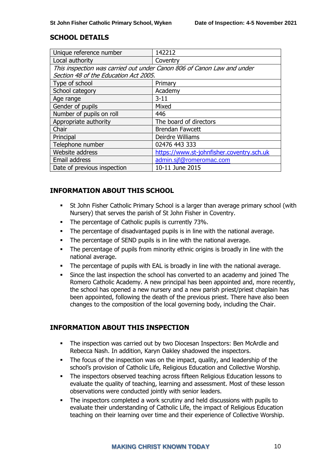#### **SCHOOL DETAILS**

| Unique reference number                                                | 142212                                    |  |
|------------------------------------------------------------------------|-------------------------------------------|--|
| Local authority                                                        | Coventry                                  |  |
| This inspection was carried out under Canon 806 of Canon Law and under |                                           |  |
| Section 48 of the Education Act 2005.                                  |                                           |  |
| Type of school                                                         | Primary                                   |  |
| School category                                                        | Academy                                   |  |
| Age range                                                              | $3 - 11$                                  |  |
| Gender of pupils                                                       | Mixed                                     |  |
| Number of pupils on roll                                               | 446                                       |  |
| Appropriate authority                                                  | The board of directors                    |  |
| Chair                                                                  | <b>Brendan Fawcett</b>                    |  |
| Principal                                                              | Deirdre Williams                          |  |
| Telephone number                                                       | 02476 443 333                             |  |
| Website address                                                        | https://www.st-johnfisher.coventry.sch.uk |  |
| Email address                                                          | admin.sif@romeromac.com                   |  |
| Date of previous inspection                                            | 10-11 June 2015                           |  |

## **INFORMATION ABOUT THIS SCHOOL**

- **•** St John Fisher Catholic Primary School is a larger than average primary school (with Nursery) that serves the parish of St John Fisher in Coventry.
- The percentage of Catholic pupils is currently 73%.
- The percentage of disadvantaged pupils is in line with the national average.
- The percentage of SEND pupils is in line with the national average.
- The percentage of pupils from minority ethnic origins is broadly in line with the national average.
- The percentage of pupils with EAL is broadly in line with the national average.
- Since the last inspection the school has converted to an academy and joined The Romero Catholic Academy. A new principal has been appointed and, more recently, the school has opened a new nursery and a new parish priest/priest chaplain has been appointed, following the death of the previous priest. There have also been changes to the composition of the local governing body, including the Chair.

## **INFORMATION ABOUT THIS INSPECTION**

- The inspection was carried out by two Diocesan Inspectors: Ben McArdle and Rebecca Nash. In addition, Karyn Oakley shadowed the inspectors.
- The focus of the inspection was on the impact, quality, and leadership of the school's provision of Catholic Life, Religious Education and Collective Worship.
- **•** The inspectors observed teaching across fifteen Religious Education lessons to evaluate the quality of teaching, learning and assessment. Most of these lesson observations were conducted jointly with senior leaders.
- The inspectors completed a work scrutiny and held discussions with pupils to evaluate their understanding of Catholic Life, the impact of Religious Education teaching on their learning over time and their experience of Collective Worship.